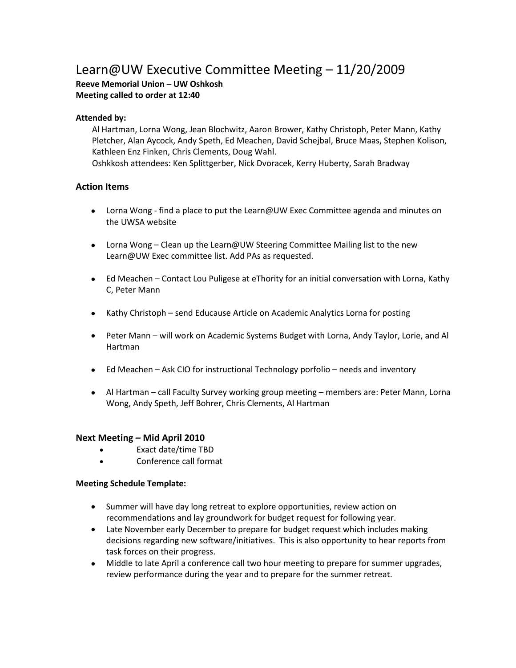# Learn@UW Executive Committee Meeting – 11/20/2009

**Reeve Memorial Union – UW Oshkosh Meeting called to order at 12:40**

# **Attended by:**

Al Hartman, Lorna Wong, Jean Blochwitz, Aaron Brower, Kathy Christoph, Peter Mann, Kathy Pletcher, Alan Aycock, Andy Speth, Ed Meachen, David Schejbal, Bruce Maas, Stephen Kolison, Kathleen Enz Finken, Chris Clements, Doug Wahl. Oshkkosh attendees: Ken Splittgerber, Nick Dvoracek, Kerry Huberty, Sarah Bradway

# **Action Items**

- Lorna Wong find a place to put the Learn@UW Exec Committee agenda and minutes on the UWSA website
- Lorna Wong Clean up the Learn@UW Steering Committee Mailing list to the new Learn@UW Exec committee list. Add PAs as requested.
- Ed Meachen Contact Lou Puligese at eThority for an initial conversation with Lorna, Kathy C, Peter Mann
- Kathy Christoph send Educause Article on Academic Analytics Lorna for posting
- Peter Mann will work on Academic Systems Budget with Lorna, Andy Taylor, Lorie, and Al Hartman
- Ed Meachen Ask CIO for instructional Technology porfolio needs and inventory
- Al Hartman call Faculty Survey working group meeting members are: Peter Mann, Lorna Wong, Andy Speth, Jeff Bohrer, Chris Clements, Al Hartman

## **Next Meeting – Mid April 2010**

- Exact date/time TBD
- Conference call format

## **Meeting Schedule Template:**

- Summer will have day long retreat to explore opportunities, review action on recommendations and lay groundwork for budget request for following year.
- Late November early December to prepare for budget request which includes making decisions regarding new software/initiatives. This is also opportunity to hear reports from task forces on their progress.
- Middle to late April a conference call two hour meeting to prepare for summer upgrades, review performance during the year and to prepare for the summer retreat.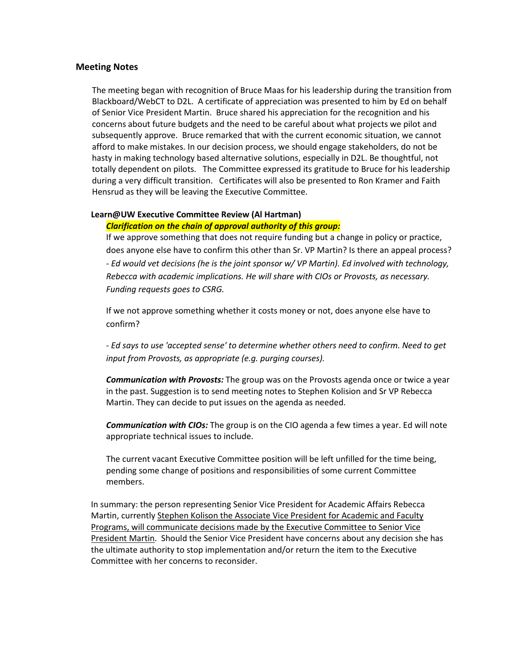#### **Meeting Notes**

The meeting began with recognition of Bruce Maas for his leadership during the transition from Blackboard/WebCT to D2L. A certificate of appreciation was presented to him by Ed on behalf of Senior Vice President Martin. Bruce shared his appreciation for the recognition and his concerns about future budgets and the need to be careful about what projects we pilot and subsequently approve. Bruce remarked that with the current economic situation, we cannot afford to make mistakes. In our decision process, we should engage stakeholders, do not be hasty in making technology based alternative solutions, especially in D2L. Be thoughtful, not totally dependent on pilots. The Committee expressed its gratitude to Bruce for his leadership during a very difficult transition. Certificates will also be presented to Ron Kramer and Faith Hensrud as they will be leaving the Executive Committee.

# **Learn@UW Executive Committee Review (Al Hartman)**

## *Clarification on the chain of approval authority of this group:*

If we approve something that does not require funding but a change in policy or practice, does anyone else have to confirm this other than Sr. VP Martin? Is there an appeal process? *- Ed would vet decisions (he is the joint sponsor w/ VP Martin). Ed involved with technology, Rebecca with academic implications. He will share with CIOs or Provosts, as necessary. Funding requests goes to CSRG.*

If we not approve something whether it costs money or not, does anyone else have to confirm?

- *Ed says to use 'accepted sense' to determine whether others need to confirm. Need to get input from Provosts, as appropriate (e.g. purging courses).*

*Communication with Provosts:* The group was on the Provosts agenda once or twice a year in the past. Suggestion is to send meeting notes to Stephen Kolision and Sr VP Rebecca Martin. They can decide to put issues on the agenda as needed.

*Communication with CIOs:* The group is on the CIO agenda a few times a year. Ed will note appropriate technical issues to include.

The current vacant Executive Committee position will be left unfilled for the time being, pending some change of positions and responsibilities of some current Committee members.

In summary: the person representing Senior Vice President for Academic Affairs Rebecca Martin, currently Stephen Kolison the Associate Vice President for Academic and Faculty Programs, will communicate decisions made by the Executive Committee to Senior Vice President Martin. Should the Senior Vice President have concerns about any decision she has the ultimate authority to stop implementation and/or return the item to the Executive Committee with her concerns to reconsider.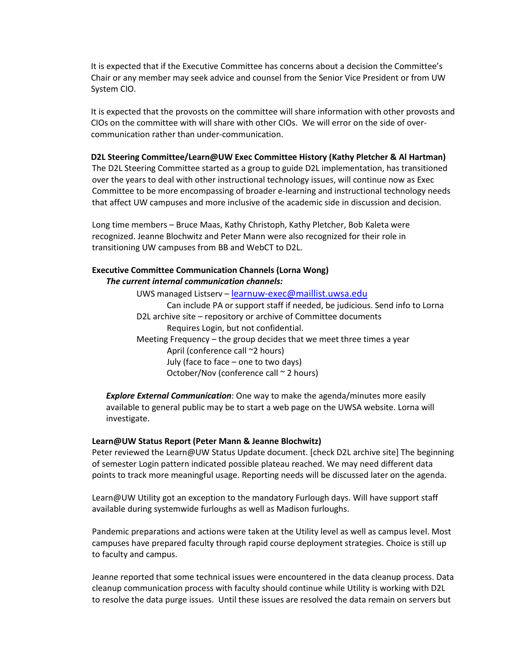It is expected that if the Executive Committee has concerns about a decision the Committee's Chair or any member may seek advice and counsel from the Senior Vice President or from UW System CIO.

It is expected that the provosts on the committee will share information with other provosts and CIOs on the committee with will share with other CIOs. We will error on the side of overcommunication rather than under-communication.

## **D2L Steering Committee/Learn@UW Exec Committee History (Kathy Pletcher & Al Hartman)**

The D2L Steering Committee started as a group to guide D2L implementation, has transitioned over the years to deal with other instructional technology issues, will continue now as Exec Committee to be more encompassing of broader e-learning and instructional technology needs that affect UW campuses and more inclusive of the academic side in discussion and decision.

Long time members – Bruce Maas, Kathy Christoph, Kathy Pletcher, Bob Kaleta were recognized. Jeanne Blochwitz and Peter Mann were also recognized for their role in transitioning UW campuses from BB and WebCT to D2L.

#### **Executive Committee Communication Channels (Lorna Wong)** *The current internal communication channels:*

UWS managed Listserv – [learnuw-exec@maillist.uwsa.edu](mailto:learnuw-exec@maillist.uwsa.edu) Can include PA or support staff if needed, be judicious. Send info to Lorna D2L archive site – repository or archive of Committee documents Requires Login, but not confidential. Meeting Frequency – the group decides that we meet three times a year April (conference call ~2 hours) July (face to face – one to two days) October/Nov (conference call  $\sim$  2 hours)

*Explore External Communication*: One way to make the agenda/minutes more easily available to general public may be to start a web page on the UWSA website. Lorna will investigate.

#### **Learn@UW Status Report (Peter Mann & Jeanne Blochwitz)**

Peter reviewed the Learn@UW Status Update document. [check D2L archive site] The beginning of semester Login pattern indicated possible plateau reached. We may need different data points to track more meaningful usage. Reporting needs will be discussed later on the agenda.

Learn@UW Utility got an exception to the mandatory Furlough days. Will have support staff available during systemwide furloughs as well as Madison furloughs.

Pandemic preparations and actions were taken at the Utility level as well as campus level. Most campuses have prepared faculty through rapid course deployment strategies. Choice is still up to faculty and campus.

Jeanne reported that some technical issues were encountered in the data cleanup process. Data cleanup communication process with faculty should continue while Utility is working with D2L to resolve the data purge issues. Until these issues are resolved the data remain on servers but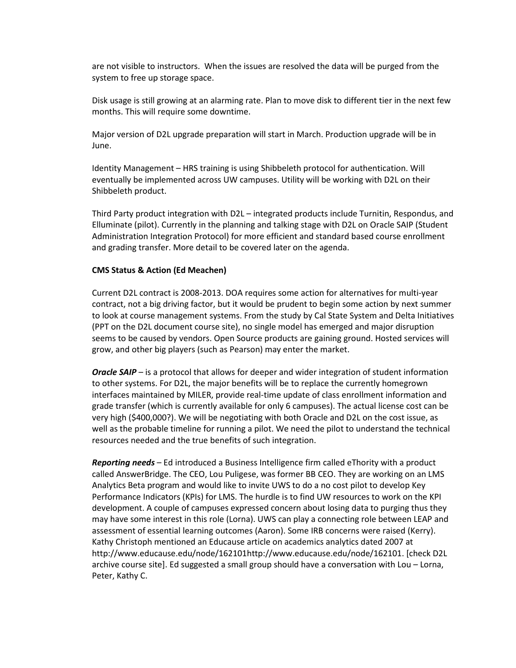are not visible to instructors. When the issues are resolved the data will be purged from the system to free up storage space.

Disk usage is still growing at an alarming rate. Plan to move disk to different tier in the next few months. This will require some downtime.

Major version of D2L upgrade preparation will start in March. Production upgrade will be in June.

Identity Management – HRS training is using Shibbeleth protocol for authentication. Will eventually be implemented across UW campuses. Utility will be working with D2L on their Shibbeleth product.

Third Party product integration with D2L – integrated products include Turnitin, Respondus, and Elluminate (pilot). Currently in the planning and talking stage with D2L on Oracle SAIP (Student Administration Integration Protocol) for more efficient and standard based course enrollment and grading transfer. More detail to be covered later on the agenda.

#### **CMS Status & Action (Ed Meachen)**

Current D2L contract is 2008-2013. DOA requires some action for alternatives for multi-year contract, not a big driving factor, but it would be prudent to begin some action by next summer to look at course management systems. From the study by Cal State System and Delta Initiatives (PPT on the D2L document course site), no single model has emerged and major disruption seems to be caused by vendors. Open Source products are gaining ground. Hosted services will grow, and other big players (such as Pearson) may enter the market.

*Oracle SAIP* – is a protocol that allows for deeper and wider integration of student information to other systems. For D2L, the major benefits will be to replace the currently homegrown interfaces maintained by MILER, provide real-time update of class enrollment information and grade transfer (which is currently available for only 6 campuses). The actual license cost can be very high (\$400,000?). We will be negotiating with both Oracle and D2L on the cost issue, as well as the probable timeline for running a pilot. We need the pilot to understand the technical resources needed and the true benefits of such integration.

*Reporting needs* – Ed introduced a Business Intelligence firm called eThority with a product called AnswerBridge. The CEO, Lou Puligese, was former BB CEO. They are working on an LMS Analytics Beta program and would like to invite UWS to do a no cost pilot to develop Key Performance Indicators (KPIs) for LMS. The hurdle is to find UW resources to work on the KPI development. A couple of campuses expressed concern about losing data to purging thus they may have some interest in this role (Lorna). UWS can play a connecting role between LEAP and assessment of essential learning outcomes (Aaron). Some IRB concerns were raised (Kerry). Kathy Christoph mentioned an Educause article on academics analytics dated 2007 at http://www.educause.edu/node/162101http://www.educause.edu/node/162101. [check D2L archive course site]. Ed suggested a small group should have a conversation with Lou – Lorna, Peter, Kathy C.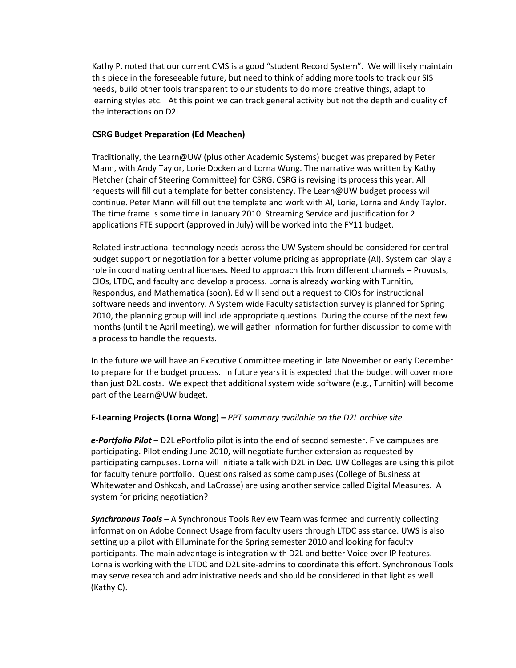Kathy P. noted that our current CMS is a good "student Record System". We will likely maintain this piece in the foreseeable future, but need to think of adding more tools to track our SIS needs, build other tools transparent to our students to do more creative things, adapt to learning styles etc. At this point we can track general activity but not the depth and quality of the interactions on D2L.

# **CSRG Budget Preparation (Ed Meachen)**

Traditionally, the Learn@UW (plus other Academic Systems) budget was prepared by Peter Mann, with Andy Taylor, Lorie Docken and Lorna Wong. The narrative was written by Kathy Pletcher (chair of Steering Committee) for CSRG. CSRG is revising its process this year. All requests will fill out a template for better consistency. The Learn@UW budget process will continue. Peter Mann will fill out the template and work with Al, Lorie, Lorna and Andy Taylor. The time frame is some time in January 2010. Streaming Service and justification for 2 applications FTE support (approved in July) will be worked into the FY11 budget.

Related instructional technology needs across the UW System should be considered for central budget support or negotiation for a better volume pricing as appropriate (Al). System can play a role in coordinating central licenses. Need to approach this from different channels – Provosts, CIOs, LTDC, and faculty and develop a process. Lorna is already working with Turnitin, Respondus, and Mathematica (soon). Ed will send out a request to CIOs for instructional software needs and inventory. A System wide Faculty satisfaction survey is planned for Spring 2010, the planning group will include appropriate questions. During the course of the next few months (until the April meeting), we will gather information for further discussion to come with a process to handle the requests.

In the future we will have an Executive Committee meeting in late November or early December to prepare for the budget process. In future years it is expected that the budget will cover more than just D2L costs. We expect that additional system wide software (e.g., Turnitin) will become part of the Learn@UW budget.

## **E-Learning Projects (Lorna Wong) –** *PPT summary available on the D2L archive site.*

*e-Portfolio Pilot* – D2L ePortfolio pilot is into the end of second semester. Five campuses are participating. Pilot ending June 2010, will negotiate further extension as requested by participating campuses. Lorna will initiate a talk with D2L in Dec. UW Colleges are using this pilot for faculty tenure portfolio. Questions raised as some campuses (College of Business at Whitewater and Oshkosh, and LaCrosse) are using another service called Digital Measures. A system for pricing negotiation?

*Synchronous Tools* – A Synchronous Tools Review Team was formed and currently collecting information on Adobe Connect Usage from faculty users through LTDC assistance. UWS is also setting up a pilot with Elluminate for the Spring semester 2010 and looking for faculty participants. The main advantage is integration with D2L and better Voice over IP features. Lorna is working with the LTDC and D2L site-admins to coordinate this effort. Synchronous Tools may serve research and administrative needs and should be considered in that light as well (Kathy C).